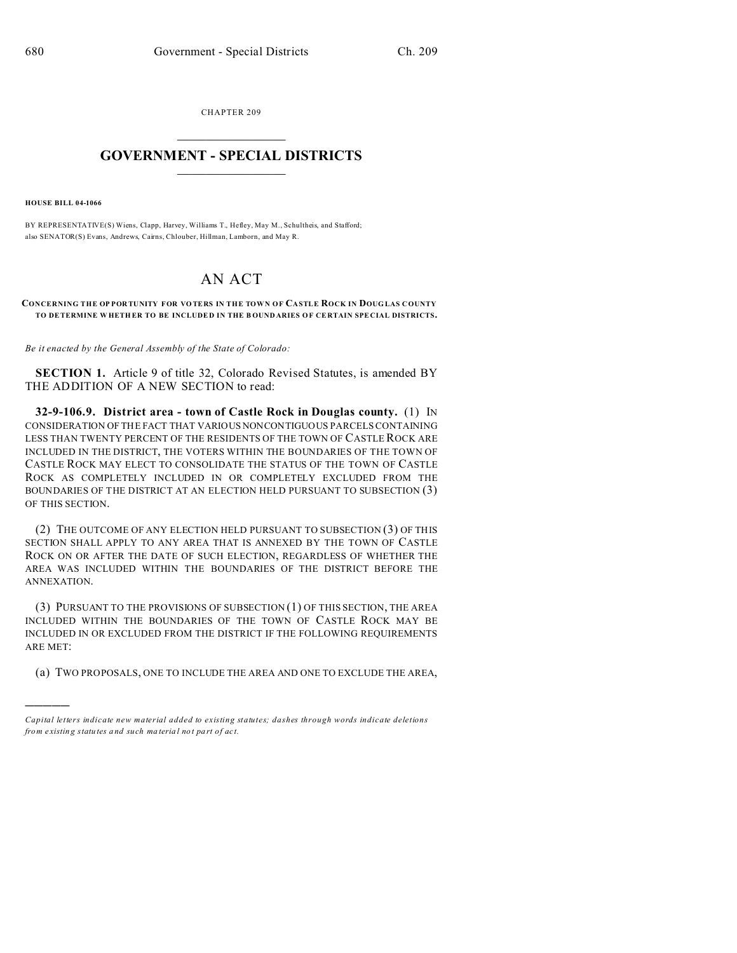CHAPTER 209  $\overline{\phantom{a}}$  , where  $\overline{\phantom{a}}$ 

## **GOVERNMENT - SPECIAL DISTRICTS**  $\_$   $\_$   $\_$   $\_$   $\_$   $\_$   $\_$   $\_$   $\_$

**HOUSE BILL 04-1066**

)))))

BY REPRESENTATIVE(S) Wiens, Clapp, Harvey, Williams T., Hefley, May M., Schultheis, and Stafford; also SENATOR(S) Evans, Andrews, Cairns, Chlouber, Hillman, Lamborn, and May R.

## AN ACT

## **CONCERNING THE OP POR TUNITY FOR VO TERS IN THE TOWN OF CASTLE ROCK IN DOUG LAS COUNTY TO DETERMINE W HETH ER TO BE INCLUDE D IN THE B OUND ARIES OF CE RTAIN SPE CIAL DISTRICTS.**

*Be it enacted by the General Assembly of the State of Colorado:*

**SECTION 1.** Article 9 of title 32, Colorado Revised Statutes, is amended BY THE ADDITION OF A NEW SECTION to read:

**32-9-106.9. District area - town of Castle Rock in Douglas county.** (1) IN CONSIDERATION OF THE FACT THAT VARIOUS NONCONTIGUOUS PARCELS CONTAINING LESS THAN TWENTY PERCENT OF THE RESIDENTS OF THE TOWN OF CASTLE ROCK ARE INCLUDED IN THE DISTRICT, THE VOTERS WITHIN THE BOUNDARIES OF THE TOWN OF CASTLE ROCK MAY ELECT TO CONSOLIDATE THE STATUS OF THE TOWN OF CASTLE ROCK AS COMPLETELY INCLUDED IN OR COMPLETELY EXCLUDED FROM THE BOUNDARIES OF THE DISTRICT AT AN ELECTION HELD PURSUANT TO SUBSECTION (3) OF THIS SECTION.

(2) THE OUTCOME OF ANY ELECTION HELD PURSUANT TO SUBSECTION (3) OF THIS SECTION SHALL APPLY TO ANY AREA THAT IS ANNEXED BY THE TOWN OF CASTLE ROCK ON OR AFTER THE DATE OF SUCH ELECTION, REGARDLESS OF WHETHER THE AREA WAS INCLUDED WITHIN THE BOUNDARIES OF THE DISTRICT BEFORE THE ANNEXATION.

(3) PURSUANT TO THE PROVISIONS OF SUBSECTION (1) OF THIS SECTION, THE AREA INCLUDED WITHIN THE BOUNDARIES OF THE TOWN OF CASTLE ROCK MAY BE INCLUDED IN OR EXCLUDED FROM THE DISTRICT IF THE FOLLOWING REQUIREMENTS ARE MET:

(a) TWO PROPOSALS, ONE TO INCLUDE THE AREA AND ONE TO EXCLUDE THE AREA,

*Capital letters indicate new material added to existing statutes; dashes through words indicate deletions from e xistin g statu tes a nd such ma teria l no t pa rt of ac t.*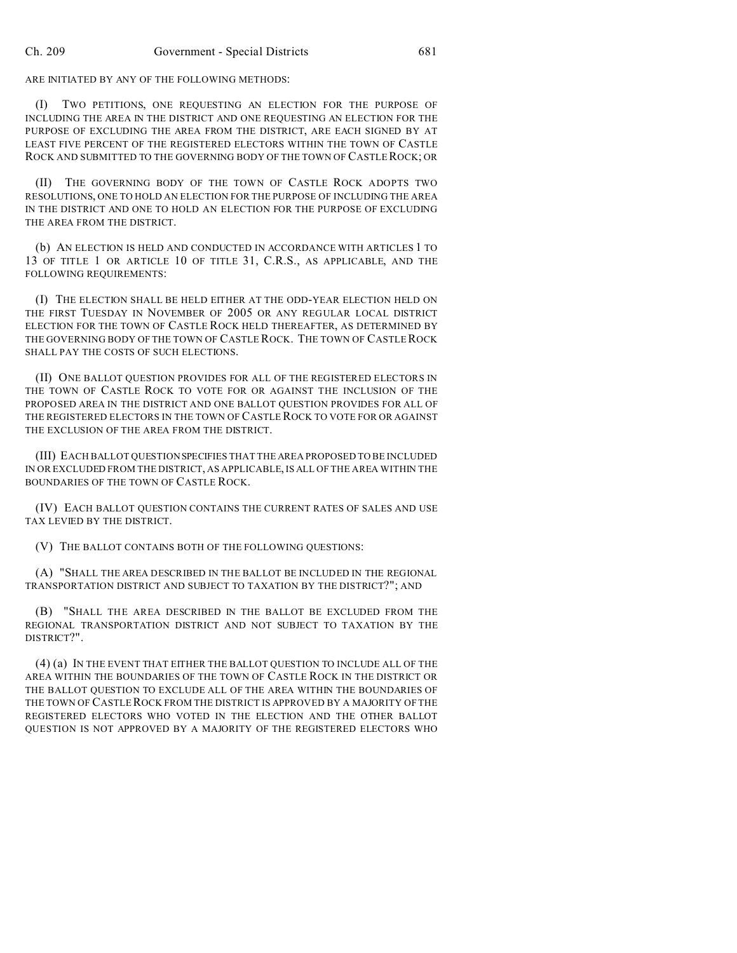ARE INITIATED BY ANY OF THE FOLLOWING METHODS:

(I) TWO PETITIONS, ONE REQUESTING AN ELECTION FOR THE PURPOSE OF INCLUDING THE AREA IN THE DISTRICT AND ONE REQUESTING AN ELECTION FOR THE PURPOSE OF EXCLUDING THE AREA FROM THE DISTRICT, ARE EACH SIGNED BY AT LEAST FIVE PERCENT OF THE REGISTERED ELECTORS WITHIN THE TOWN OF CASTLE ROCK AND SUBMITTED TO THE GOVERNING BODY OF THE TOWN OF CASTLE ROCK; OR

(II) THE GOVERNING BODY OF THE TOWN OF CASTLE ROCK ADOPTS TWO RESOLUTIONS, ONE TO HOLD AN ELECTION FOR THE PURPOSE OF INCLUDING THE AREA IN THE DISTRICT AND ONE TO HOLD AN ELECTION FOR THE PURPOSE OF EXCLUDING THE AREA FROM THE DISTRICT.

(b) AN ELECTION IS HELD AND CONDUCTED IN ACCORDANCE WITH ARTICLES 1 TO 13 OF TITLE 1 OR ARTICLE 10 OF TITLE 31, C.R.S., AS APPLICABLE, AND THE FOLLOWING REQUIREMENTS:

(I) THE ELECTION SHALL BE HELD EITHER AT THE ODD-YEAR ELECTION HELD ON THE FIRST TUESDAY IN NOVEMBER OF 2005 OR ANY REGULAR LOCAL DISTRICT ELECTION FOR THE TOWN OF CASTLE ROCK HELD THEREAFTER, AS DETERMINED BY THE GOVERNING BODY OF THE TOWN OF CASTLE ROCK. THE TOWN OF CASTLEROCK SHALL PAY THE COSTS OF SUCH ELECTIONS.

(II) ONE BALLOT QUESTION PROVIDES FOR ALL OF THE REGISTERED ELECTORS IN THE TOWN OF CASTLE ROCK TO VOTE FOR OR AGAINST THE INCLUSION OF THE PROPOSED AREA IN THE DISTRICT AND ONE BALLOT QUESTION PROVIDES FOR ALL OF THE REGISTERED ELECTORS IN THE TOWN OF CASTLE ROCK TO VOTE FOR OR AGAINST THE EXCLUSION OF THE AREA FROM THE DISTRICT.

(III) EACH BALLOT QUESTION SPECIFIES THAT THE AREA PROPOSED TO BE INCLUDED IN OR EXCLUDED FROM THE DISTRICT, AS APPLICABLE, IS ALL OF THE AREA WITHIN THE BOUNDARIES OF THE TOWN OF CASTLE ROCK.

(IV) EACH BALLOT QUESTION CONTAINS THE CURRENT RATES OF SALES AND USE TAX LEVIED BY THE DISTRICT.

(V) THE BALLOT CONTAINS BOTH OF THE FOLLOWING QUESTIONS:

(A) "SHALL THE AREA DESCRIBED IN THE BALLOT BE INCLUDED IN THE REGIONAL TRANSPORTATION DISTRICT AND SUBJECT TO TAXATION BY THE DISTRICT?"; AND

(B) "SHALL THE AREA DESCRIBED IN THE BALLOT BE EXCLUDED FROM THE REGIONAL TRANSPORTATION DISTRICT AND NOT SUBJECT TO TAXATION BY THE DISTRICT?".

(4) (a) IN THE EVENT THAT EITHER THE BALLOT QUESTION TO INCLUDE ALL OF THE AREA WITHIN THE BOUNDARIES OF THE TOWN OF CASTLE ROCK IN THE DISTRICT OR THE BALLOT QUESTION TO EXCLUDE ALL OF THE AREA WITHIN THE BOUNDARIES OF THE TOWN OF CASTLE ROCK FROM THE DISTRICT IS APPROVED BY A MAJORITY OF THE REGISTERED ELECTORS WHO VOTED IN THE ELECTION AND THE OTHER BALLOT QUESTION IS NOT APPROVED BY A MAJORITY OF THE REGISTERED ELECTORS WHO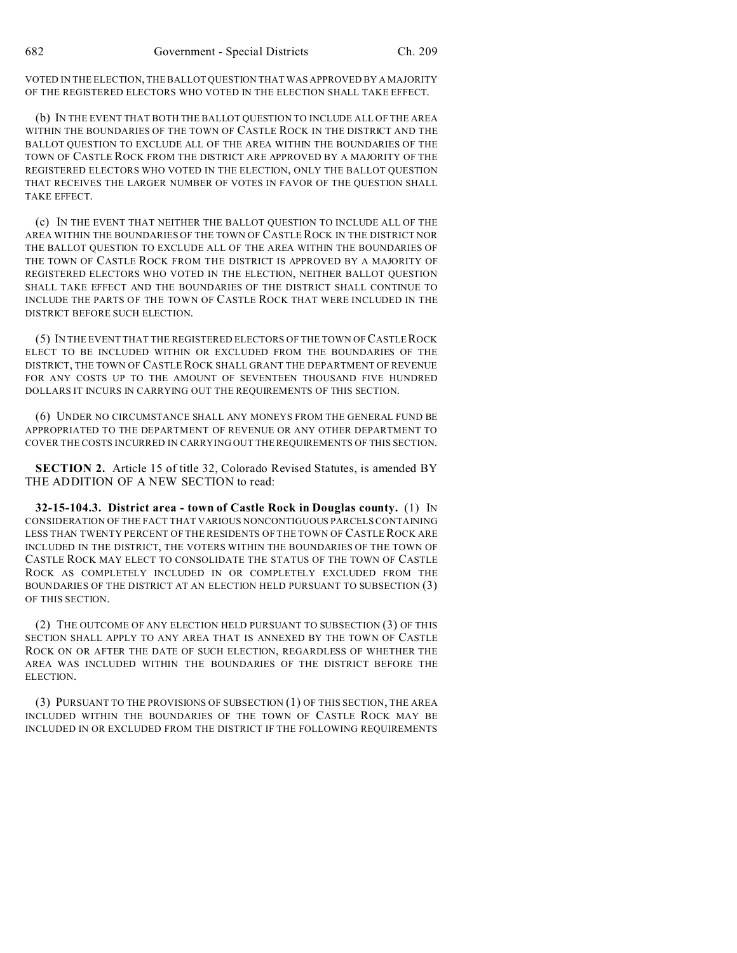VOTED IN THE ELECTION, THE BALLOT QUESTION THAT WAS APPROVED BY A MAJORITY OF THE REGISTERED ELECTORS WHO VOTED IN THE ELECTION SHALL TAKE EFFECT.

(b) IN THE EVENT THAT BOTH THE BALLOT QUESTION TO INCLUDE ALL OF THE AREA WITHIN THE BOUNDARIES OF THE TOWN OF CASTLE ROCK IN THE DISTRICT AND THE BALLOT QUESTION TO EXCLUDE ALL OF THE AREA WITHIN THE BOUNDARIES OF THE TOWN OF CASTLE ROCK FROM THE DISTRICT ARE APPROVED BY A MAJORITY OF THE REGISTERED ELECTORS WHO VOTED IN THE ELECTION, ONLY THE BALLOT QUESTION THAT RECEIVES THE LARGER NUMBER OF VOTES IN FAVOR OF THE QUESTION SHALL TAKE EFFECT.

(c) IN THE EVENT THAT NEITHER THE BALLOT QUESTION TO INCLUDE ALL OF THE AREA WITHIN THE BOUNDARIES OF THE TOWN OF CASTLE ROCK IN THE DISTRICT NOR THE BALLOT QUESTION TO EXCLUDE ALL OF THE AREA WITHIN THE BOUNDARIES OF THE TOWN OF CASTLE ROCK FROM THE DISTRICT IS APPROVED BY A MAJORITY OF REGISTERED ELECTORS WHO VOTED IN THE ELECTION, NEITHER BALLOT QUESTION SHALL TAKE EFFECT AND THE BOUNDARIES OF THE DISTRICT SHALL CONTINUE TO INCLUDE THE PARTS OF THE TOWN OF CASTLE ROCK THAT WERE INCLUDED IN THE DISTRICT BEFORE SUCH ELECTION.

(5) IN THE EVENT THAT THE REGISTERED ELECTORS OF THE TOWN OF CASTLEROCK ELECT TO BE INCLUDED WITHIN OR EXCLUDED FROM THE BOUNDARIES OF THE DISTRICT, THE TOWN OF CASTLE ROCK SHALL GRANT THE DEPARTMENT OF REVENUE FOR ANY COSTS UP TO THE AMOUNT OF SEVENTEEN THOUSAND FIVE HUNDRED DOLLARS IT INCURS IN CARRYING OUT THE REQUIREMENTS OF THIS SECTION.

(6) UNDER NO CIRCUMSTANCE SHALL ANY MONEYS FROM THE GENERAL FUND BE APPROPRIATED TO THE DEPARTMENT OF REVENUE OR ANY OTHER DEPARTMENT TO COVER THE COSTS INCURRED IN CARRYING OUT THE REQUIREMENTS OF THIS SECTION.

**SECTION 2.** Article 15 of title 32, Colorado Revised Statutes, is amended BY THE ADDITION OF A NEW SECTION to read:

**32-15-104.3. District area - town of Castle Rock in Douglas county.** (1) IN CONSIDERATION OF THE FACT THAT VARIOUS NONCONTIGUOUS PARCELS CONTAINING LESS THAN TWENTY PERCENT OF THE RESIDENTS OF THE TOWN OF CASTLEROCK ARE INCLUDED IN THE DISTRICT, THE VOTERS WITHIN THE BOUNDARIES OF THE TOWN OF CASTLE ROCK MAY ELECT TO CONSOLIDATE THE STATUS OF THE TOWN OF CASTLE ROCK AS COMPLETELY INCLUDED IN OR COMPLETELY EXCLUDED FROM THE BOUNDARIES OF THE DISTRICT AT AN ELECTION HELD PURSUANT TO SUBSECTION (3) OF THIS SECTION.

(2) THE OUTCOME OF ANY ELECTION HELD PURSUANT TO SUBSECTION (3) OF THIS SECTION SHALL APPLY TO ANY AREA THAT IS ANNEXED BY THE TOWN OF CASTLE ROCK ON OR AFTER THE DATE OF SUCH ELECTION, REGARDLESS OF WHETHER THE AREA WAS INCLUDED WITHIN THE BOUNDARIES OF THE DISTRICT BEFORE THE ELECTION.

(3) PURSUANT TO THE PROVISIONS OF SUBSECTION (1) OF THIS SECTION, THE AREA INCLUDED WITHIN THE BOUNDARIES OF THE TOWN OF CASTLE ROCK MAY BE INCLUDED IN OR EXCLUDED FROM THE DISTRICT IF THE FOLLOWING REQUIREMENTS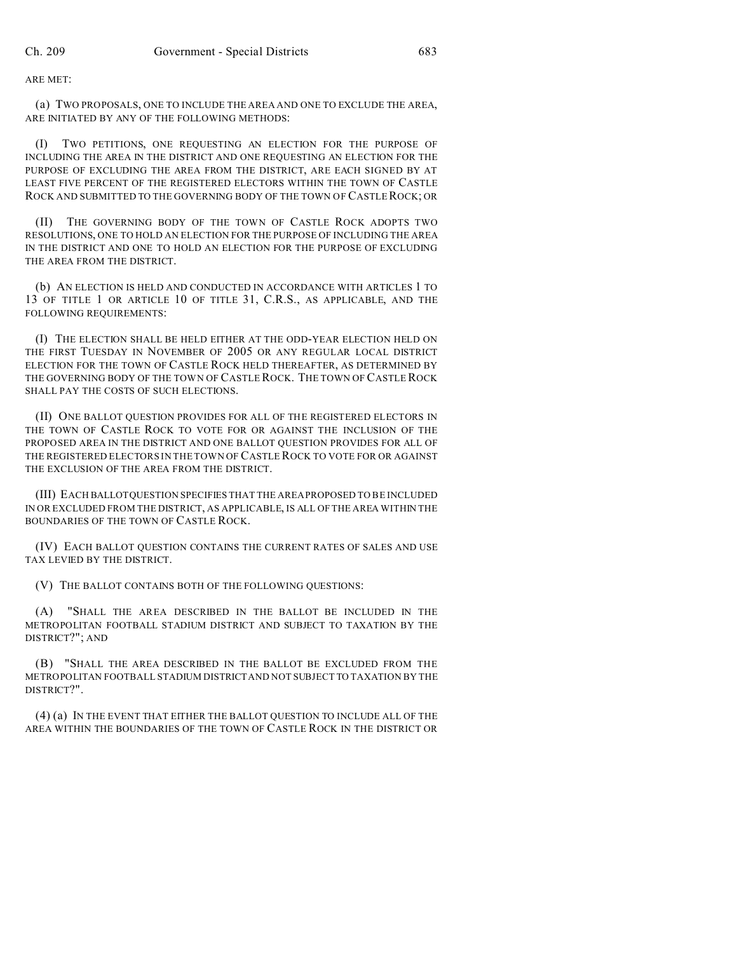ARE MET:

(a) TWO PROPOSALS, ONE TO INCLUDE THE AREA AND ONE TO EXCLUDE THE AREA, ARE INITIATED BY ANY OF THE FOLLOWING METHODS:

(I) TWO PETITIONS, ONE REQUESTING AN ELECTION FOR THE PURPOSE OF INCLUDING THE AREA IN THE DISTRICT AND ONE REQUESTING AN ELECTION FOR THE PURPOSE OF EXCLUDING THE AREA FROM THE DISTRICT, ARE EACH SIGNED BY AT LEAST FIVE PERCENT OF THE REGISTERED ELECTORS WITHIN THE TOWN OF CASTLE ROCK AND SUBMITTED TO THE GOVERNING BODY OF THE TOWN OF CASTLEROCK; OR

(II) THE GOVERNING BODY OF THE TOWN OF CASTLE ROCK ADOPTS TWO RESOLUTIONS, ONE TO HOLD AN ELECTION FOR THE PURPOSE OF INCLUDING THE AREA IN THE DISTRICT AND ONE TO HOLD AN ELECTION FOR THE PURPOSE OF EXCLUDING THE AREA FROM THE DISTRICT.

(b) AN ELECTION IS HELD AND CONDUCTED IN ACCORDANCE WITH ARTICLES 1 TO 13 OF TITLE 1 OR ARTICLE 10 OF TITLE 31, C.R.S., AS APPLICABLE, AND THE FOLLOWING REQUIREMENTS:

(I) THE ELECTION SHALL BE HELD EITHER AT THE ODD-YEAR ELECTION HELD ON THE FIRST TUESDAY IN NOVEMBER OF 2005 OR ANY REGULAR LOCAL DISTRICT ELECTION FOR THE TOWN OF CASTLE ROCK HELD THEREAFTER, AS DETERMINED BY THE GOVERNING BODY OF THE TOWN OF CASTLE ROCK. THE TOWN OF CASTLE ROCK SHALL PAY THE COSTS OF SUCH ELECTIONS.

(II) ONE BALLOT QUESTION PROVIDES FOR ALL OF THE REGISTERED ELECTORS IN THE TOWN OF CASTLE ROCK TO VOTE FOR OR AGAINST THE INCLUSION OF THE PROPOSED AREA IN THE DISTRICT AND ONE BALLOT QUESTION PROVIDES FOR ALL OF THE REGISTERED ELECTORS IN THE TOWN OF CASTLE ROCK TO VOTE FOR OR AGAINST THE EXCLUSION OF THE AREA FROM THE DISTRICT.

(III) EACH BALLOTQUESTION SPECIFIES THAT THE AREA PROPOSED TO BE INCLUDED IN OR EXCLUDED FROM THE DISTRICT, AS APPLICABLE, IS ALL OF THE AREA WITHIN THE BOUNDARIES OF THE TOWN OF CASTLE ROCK.

(IV) EACH BALLOT QUESTION CONTAINS THE CURRENT RATES OF SALES AND USE TAX LEVIED BY THE DISTRICT.

(V) THE BALLOT CONTAINS BOTH OF THE FOLLOWING QUESTIONS:

(A) "SHALL THE AREA DESCRIBED IN THE BALLOT BE INCLUDED IN THE METROPOLITAN FOOTBALL STADIUM DISTRICT AND SUBJECT TO TAXATION BY THE DISTRICT?"; AND

(B) "SHALL THE AREA DESCRIBED IN THE BALLOT BE EXCLUDED FROM THE METROPOLITAN FOOTBALL STADIUM DISTRICT AND NOT SUBJECT TO TAXATION BY THE DISTRICT?".

(4) (a) IN THE EVENT THAT EITHER THE BALLOT QUESTION TO INCLUDE ALL OF THE AREA WITHIN THE BOUNDARIES OF THE TOWN OF CASTLE ROCK IN THE DISTRICT OR